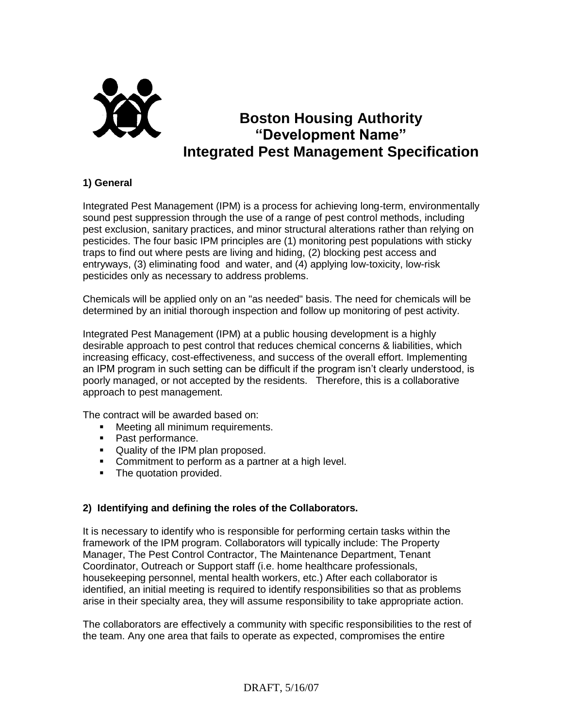

# **Boston Housing Authority "Development Name" Integrated Pest Management Specification**

## **1) General**

Integrated Pest Management (IPM) is a process for achieving long-term, environmentally sound pest suppression through the use of a range of pest control methods, including pest exclusion, sanitary practices, and minor structural alterations rather than relying on pesticides. The four basic IPM principles are (1) monitoring pest populations with sticky traps to find out where pests are living and hiding, (2) blocking pest access and entryways, (3) eliminating food and water, and (4) applying low-toxicity, low-risk pesticides only as necessary to address problems.

Chemicals will be applied only on an "as needed" basis. The need for chemicals will be determined by an initial thorough inspection and follow up monitoring of pest activity.

Integrated Pest Management (IPM) at a public housing development is a highly desirable approach to pest control that reduces chemical concerns & liabilities, which increasing efficacy, cost-effectiveness, and success of the overall effort. Implementing an IPM program in such setting can be difficult if the program isn't clearly understood, is poorly managed, or not accepted by the residents. Therefore, this is a collaborative approach to pest management.

The contract will be awarded based on:

- **Meeting all minimum requirements.**
- Past performance.
- Quality of the IPM plan proposed.
- **Commitment to perform as a partner at a high level.**
- The quotation provided.

#### **2) Identifying and defining the roles of the Collaborators.**

It is necessary to identify who is responsible for performing certain tasks within the framework of the IPM program. Collaborators will typically include: The Property Manager, The Pest Control Contractor, The Maintenance Department, Tenant Coordinator, Outreach or Support staff (i.e. home healthcare professionals, housekeeping personnel, mental health workers, etc.) After each collaborator is identified, an initial meeting is required to identify responsibilities so that as problems arise in their specialty area, they will assume responsibility to take appropriate action.

The collaborators are effectively a community with specific responsibilities to the rest of the team. Any one area that fails to operate as expected, compromises the entire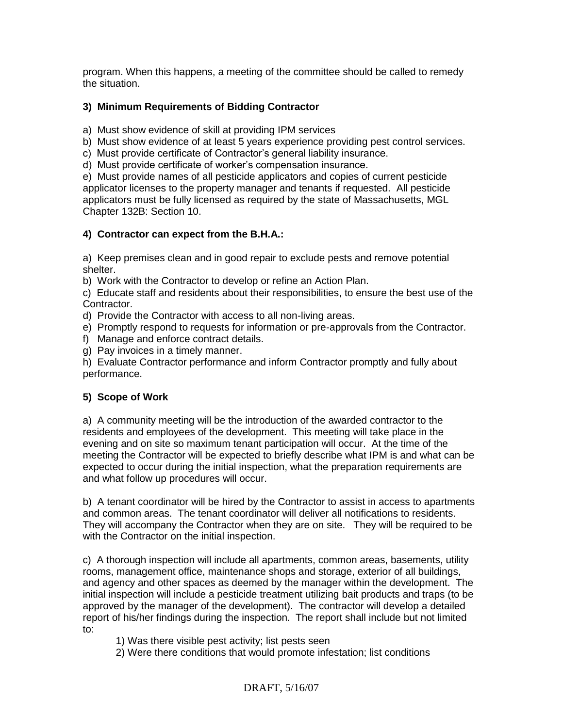program. When this happens, a meeting of the committee should be called to remedy the situation.

## **3) Minimum Requirements of Bidding Contractor**

a)Must show evidence of skill at providing IPM services

b) Must show evidence of at least 5 years experience providing pest control services.

c) Must provide certificate of Contractor's general liability insurance.

d) Must provide certificate of worker's compensation insurance.

e) Must provide names of all pesticide applicators and copies of current pesticide applicator licenses to the property manager and tenants if requested. All pesticide applicators must be fully licensed as required by the state of Massachusetts, MGL Chapter 132B: Section 10.

#### **4) Contractor can expect from the B.H.A.:**

a) Keep premises clean and in good repair to exclude pests and remove potential shelter.

b) Work with the Contractor to develop or refine an Action Plan.

c) Educate staff and residents about their responsibilities, to ensure the best use of the Contractor.

d) Provide the Contractor with access to all non-living areas.

e) Promptly respond to requests for information or pre-approvals from the Contractor.

- f) Manage and enforce contract details.
- g) Pay invoices in a timely manner.

h) Evaluate Contractor performance and inform Contractor promptly and fully about performance.

#### **5) Scope of Work**

a) A community meeting will be the introduction of the awarded contractor to the residents and employees of the development. This meeting will take place in the evening and on site so maximum tenant participation will occur. At the time of the meeting the Contractor will be expected to briefly describe what IPM is and what can be expected to occur during the initial inspection, what the preparation requirements are and what follow up procedures will occur.

b) A tenant coordinator will be hired by the Contractor to assist in access to apartments and common areas. The tenant coordinator will deliver all notifications to residents. They will accompany the Contractor when they are on site. They will be required to be with the Contractor on the initial inspection.

c) A thorough inspection will include all apartments, common areas, basements, utility rooms, management office, maintenance shops and storage, exterior of all buildings, and agency and other spaces as deemed by the manager within the development. The initial inspection will include a pesticide treatment utilizing bait products and traps (to be approved by the manager of the development). The contractor will develop a detailed report of his/her findings during the inspection. The report shall include but not limited to:

- 1) Was there visible pest activity; list pests seen
- 2) Were there conditions that would promote infestation; list conditions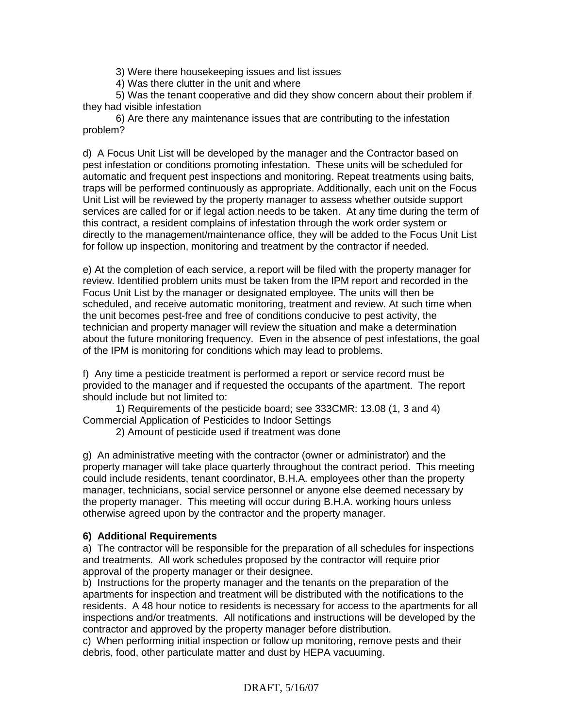3) Were there housekeeping issues and list issues

4) Was there clutter in the unit and where

5) Was the tenant cooperative and did they show concern about their problem if they had visible infestation

6) Are there any maintenance issues that are contributing to the infestation problem?

d) A Focus Unit List will be developed by the manager and the Contractor based on pest infestation or conditions promoting infestation. These units will be scheduled for automatic and frequent pest inspections and monitoring. Repeat treatments using baits, traps will be performed continuously as appropriate. Additionally, each unit on the Focus Unit List will be reviewed by the property manager to assess whether outside support services are called for or if legal action needs to be taken. At any time during the term of this contract, a resident complains of infestation through the work order system or directly to the management/maintenance office, they will be added to the Focus Unit List for follow up inspection, monitoring and treatment by the contractor if needed.

e) At the completion of each service, a report will be filed with the property manager for review. Identified problem units must be taken from the IPM report and recorded in the Focus Unit List by the manager or designated employee. The units will then be scheduled, and receive automatic monitoring, treatment and review. At such time when the unit becomes pest-free and free of conditions conducive to pest activity, the technician and property manager will review the situation and make a determination about the future monitoring frequency. Even in the absence of pest infestations, the goal of the IPM is monitoring for conditions which may lead to problems.

f) Any time a pesticide treatment is performed a report or service record must be provided to the manager and if requested the occupants of the apartment. The report should include but not limited to:

1) Requirements of the pesticide board; see 333CMR: 13.08 (1, 3 and 4) Commercial Application of Pesticides to Indoor Settings

2) Amount of pesticide used if treatment was done

g) An administrative meeting with the contractor (owner or administrator) and the property manager will take place quarterly throughout the contract period. This meeting could include residents, tenant coordinator, B.H.A. employees other than the property manager, technicians, social service personnel or anyone else deemed necessary by the property manager. This meeting will occur during B.H.A. working hours unless otherwise agreed upon by the contractor and the property manager.

#### **6) Additional Requirements**

a) The contractor will be responsible for the preparation of all schedules for inspections and treatments. All work schedules proposed by the contractor will require prior approval of the property manager or their designee.

b) Instructions for the property manager and the tenants on the preparation of the apartments for inspection and treatment will be distributed with the notifications to the residents. A 48 hour notice to residents is necessary for access to the apartments for all inspections and/or treatments. All notifications and instructions will be developed by the contractor and approved by the property manager before distribution.

c) When performing initial inspection or follow up monitoring, remove pests and their debris, food, other particulate matter and dust by HEPA vacuuming.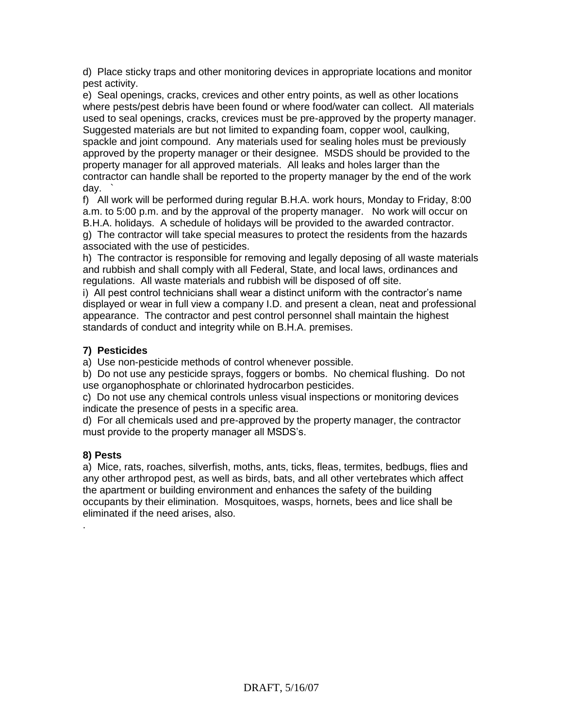d) Place sticky traps and other monitoring devices in appropriate locations and monitor pest activity.

e) Seal openings, cracks, crevices and other entry points, as well as other locations where pests/pest debris have been found or where food/water can collect. All materials used to seal openings, cracks, crevices must be pre-approved by the property manager. Suggested materials are but not limited to expanding foam, copper wool, caulking, spackle and joint compound. Any materials used for sealing holes must be previously approved by the property manager or their designee. MSDS should be provided to the property manager for all approved materials. All leaks and holes larger than the contractor can handle shall be reported to the property manager by the end of the work day. `

f) All work will be performed during regular B.H.A. work hours, Monday to Friday, 8:00 a.m. to 5:00 p.m. and by the approval of the property manager. No work will occur on B.H.A. holidays. A schedule of holidays will be provided to the awarded contractor. g) The contractor will take special measures to protect the residents from the hazards associated with the use of pesticides.

h) The contractor is responsible for removing and legally deposing of all waste materials and rubbish and shall comply with all Federal, State, and local laws, ordinances and regulations. All waste materials and rubbish will be disposed of off site.

i) All pest control technicians shall wear a distinct uniform with the contractor's name displayed or wear in full view a company I.D. and present a clean, neat and professional appearance. The contractor and pest control personnel shall maintain the highest standards of conduct and integrity while on B.H.A. premises.

## **7) Pesticides**

a) Use non-pesticide methods of control whenever possible.

b) Do not use any pesticide sprays, foggers or bombs. No chemical flushing. Do not use organophosphate or chlorinated hydrocarbon pesticides.

c) Do not use any chemical controls unless visual inspections or monitoring devices indicate the presence of pests in a specific area.

d) For all chemicals used and pre-approved by the property manager, the contractor must provide to the property manager all MSDS's.

#### **8) Pests**

.

a) Mice, rats, roaches, silverfish, moths, ants, ticks, fleas, termites, bedbugs, flies and any other arthropod pest, as well as birds, bats, and all other vertebrates which affect the apartment or building environment and enhances the safety of the building occupants by their elimination. Mosquitoes, wasps, hornets, bees and lice shall be eliminated if the need arises, also.